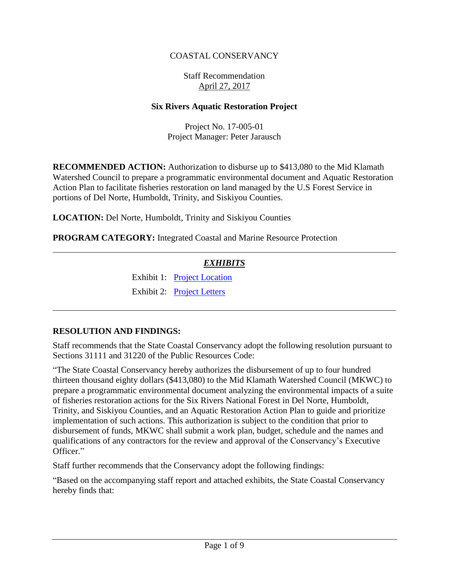# COASTAL CONSERVANCY

# Staff Recommendation April 27, 2017

### **Six Rivers Aquatic Restoration Project**

Project No. 17-005-01 Project Manager: Peter Jarausch

**RECOMMENDED ACTION:** Authorization to disburse up to \$413,080 to the Mid Klamath Watershed Council to prepare a programmatic environmental document and Aquatic Restoration Action Plan to facilitate fisheries restoration on land managed by the U.S Forest Service in portions of Del Norte, Humboldt, Trinity, and Siskiyou Counties.

**LOCATION:** Del Norte, Humboldt, Trinity and Siskiyou Counties

**PROGRAM CATEGORY:** Integrated Coastal and Marine Resource Protection

# *EXHIBITS*

Exhibit 1: [Project Location](20170427Board07_Six_Rivers_Ex1.pdf) Exhibit 2: [Project Letters](20170427Board07_Six_Rivers_Ex2.pdf)

### **RESOLUTION AND FINDINGS:**

Staff recommends that the State Coastal Conservancy adopt the following resolution pursuant to Sections 31111 and 31220 of the Public Resources Code:

"The State Coastal Conservancy hereby authorizes the disbursement of up to four hundred thirteen thousand eighty dollars (\$413,080) to the Mid Klamath Watershed Council (MKWC) to prepare a programmatic environmental document analyzing the environmental impacts of a suite of fisheries restoration actions for the Six Rivers National Forest in Del Norte, Humboldt, Trinity, and Siskiyou Counties, and an Aquatic Restoration Action Plan to guide and prioritize implementation of such actions. This authorization is subject to the condition that prior to disbursement of funds, MKWC shall submit a work plan, budget, schedule and the names and qualifications of any contractors for the review and approval of the Conservancy's Executive Officer."

Staff further recommends that the Conservancy adopt the following findings:

"Based on the accompanying staff report and attached exhibits, the State Coastal Conservancy hereby finds that: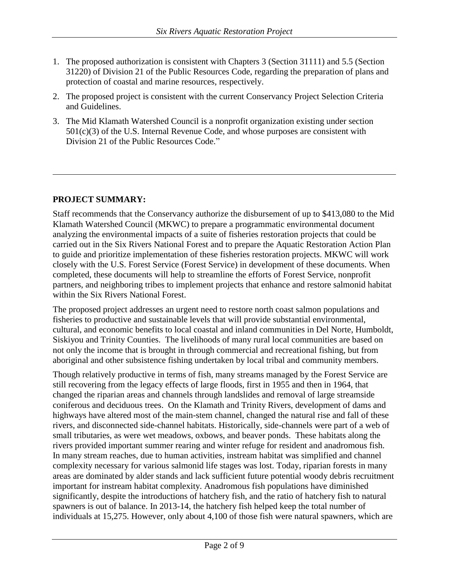- 1. The proposed authorization is consistent with Chapters 3 (Section 31111) and 5.5 (Section 31220) of Division 21 of the Public Resources Code, regarding the preparation of plans and protection of coastal and marine resources, respectively.
- 2. The proposed project is consistent with the current Conservancy Project Selection Criteria and Guidelines.
- 3. The Mid Klamath Watershed Council is a nonprofit organization existing under section  $501(c)(3)$  of the U.S. Internal Revenue Code, and whose purposes are consistent with Division 21 of the Public Resources Code."

# **PROJECT SUMMARY:**

Staff recommends that the Conservancy authorize the disbursement of up to \$413,080 to the Mid Klamath Watershed Council (MKWC) to prepare a programmatic environmental document analyzing the environmental impacts of a suite of fisheries restoration projects that could be carried out in the Six Rivers National Forest and to prepare the Aquatic Restoration Action Plan to guide and prioritize implementation of these fisheries restoration projects. MKWC will work closely with the U.S. Forest Service (Forest Service) in development of these documents. When completed, these documents will help to streamline the efforts of Forest Service, nonprofit partners, and neighboring tribes to implement projects that enhance and restore salmonid habitat within the Six Rivers National Forest.

The proposed project addresses an urgent need to restore north coast salmon populations and fisheries to productive and sustainable levels that will provide substantial environmental, cultural, and economic benefits to local coastal and inland communities in Del Norte, Humboldt, Siskiyou and Trinity Counties. The livelihoods of many rural local communities are based on not only the income that is brought in through commercial and recreational fishing, but from aboriginal and other subsistence fishing undertaken by local tribal and community members.

Though relatively productive in terms of fish, many streams managed by the Forest Service are still recovering from the legacy effects of large floods, first in 1955 and then in 1964, that changed the riparian areas and channels through landslides and removal of large streamside coniferous and deciduous trees. On the Klamath and Trinity Rivers, development of dams and highways have altered most of the main-stem channel, changed the natural rise and fall of these rivers, and disconnected side-channel habitats. Historically, side-channels were part of a web of small tributaries, as were wet meadows, oxbows, and beaver ponds. These habitats along the rivers provided important summer rearing and winter refuge for resident and anadromous fish. In many stream reaches, due to human activities, instream habitat was simplified and channel complexity necessary for various salmonid life stages was lost. Today, riparian forests in many areas are dominated by alder stands and lack sufficient future potential woody debris recruitment important for instream habitat complexity. Anadromous fish populations have diminished significantly, despite the introductions of hatchery fish, and the ratio of hatchery fish to natural spawners is out of balance. In 2013-14, the hatchery fish helped keep the total number of individuals at 15,275. However, only about 4,100 of those fish were natural spawners, which are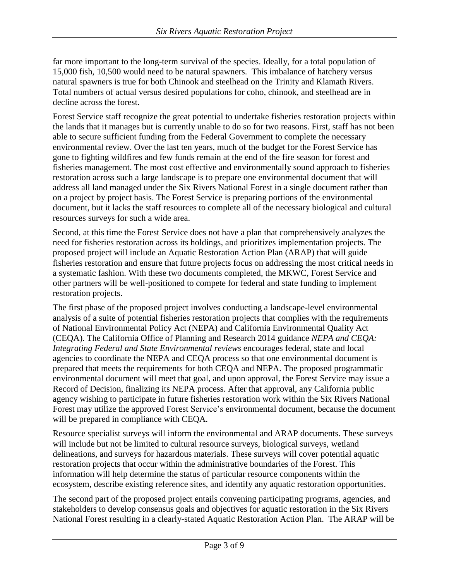far more important to the long-term survival of the species. Ideally, for a total population of 15,000 fish, 10,500 would need to be natural spawners. This imbalance of hatchery versus natural spawners is true for both Chinook and steelhead on the Trinity and Klamath Rivers. Total numbers of actual versus desired populations for coho, chinook, and steelhead are in decline across the forest.

Forest Service staff recognize the great potential to undertake fisheries restoration projects within the lands that it manages but is currently unable to do so for two reasons. First, staff has not been able to secure sufficient funding from the Federal Government to complete the necessary environmental review. Over the last ten years, much of the budget for the Forest Service has gone to fighting wildfires and few funds remain at the end of the fire season for forest and fisheries management. The most cost effective and environmentally sound approach to fisheries restoration across such a large landscape is to prepare one environmental document that will address all land managed under the Six Rivers National Forest in a single document rather than on a project by project basis. The Forest Service is preparing portions of the environmental document, but it lacks the staff resources to complete all of the necessary biological and cultural resources surveys for such a wide area.

Second, at this time the Forest Service does not have a plan that comprehensively analyzes the need for fisheries restoration across its holdings, and prioritizes implementation projects. The proposed project will include an Aquatic Restoration Action Plan (ARAP) that will guide fisheries restoration and ensure that future projects focus on addressing the most critical needs in a systematic fashion. With these two documents completed, the MKWC, Forest Service and other partners will be well-positioned to compete for federal and state funding to implement restoration projects.

The first phase of the proposed project involves conducting a landscape-level environmental analysis of a suite of potential fisheries restoration projects that complies with the requirements of National Environmental Policy Act (NEPA) and California Environmental Quality Act (CEQA). The California Office of Planning and Research 2014 guidance *NEPA and CEQA: Integrating Federal and State Environmental reviews* encourages federal, state and local agencies to coordinate the NEPA and CEQA process so that one environmental document is prepared that meets the requirements for both CEQA and NEPA. The proposed programmatic environmental document will meet that goal, and upon approval, the Forest Service may issue a Record of Decision, finalizing its NEPA process. After that approval, any California public agency wishing to participate in future fisheries restoration work within the Six Rivers National Forest may utilize the approved Forest Service's environmental document, because the document will be prepared in compliance with CEQA.

Resource specialist surveys will inform the environmental and ARAP documents. These surveys will include but not be limited to cultural resource surveys, biological surveys, wetland delineations, and surveys for hazardous materials. These surveys will cover potential aquatic restoration projects that occur within the administrative boundaries of the Forest. This information will help determine the status of particular resource components within the ecosystem, describe existing reference sites, and identify any aquatic restoration opportunities.

The second part of the proposed project entails convening participating programs, agencies, and stakeholders to develop consensus goals and objectives for aquatic restoration in the Six Rivers National Forest resulting in a clearly-stated Aquatic Restoration Action Plan. The ARAP will be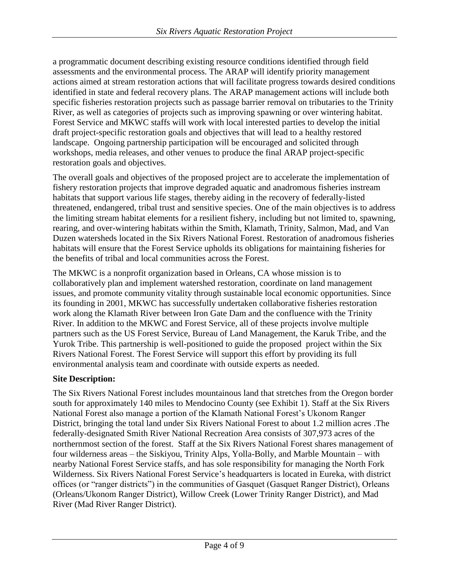a programmatic document describing existing resource conditions identified through field assessments and the environmental process. The ARAP will identify priority management actions aimed at stream restoration actions that will facilitate progress towards desired conditions identified in state and federal recovery plans. The ARAP management actions will include both specific fisheries restoration projects such as passage barrier removal on tributaries to the Trinity River, as well as categories of projects such as improving spawning or over wintering habitat. Forest Service and MKWC staffs will work with local interested parties to develop the initial draft project-specific restoration goals and objectives that will lead to a healthy restored landscape. Ongoing partnership participation will be encouraged and solicited through workshops, media releases, and other venues to produce the final ARAP project-specific restoration goals and objectives.

The overall goals and objectives of the proposed project are to accelerate the implementation of fishery restoration projects that improve degraded aquatic and anadromous fisheries instream habitats that support various life stages, thereby aiding in the recovery of federally-listed threatened, endangered, tribal trust and sensitive species. One of the main objectives is to address the limiting stream habitat elements for a resilient fishery, including but not limited to, spawning, rearing, and over-wintering habitats within the Smith, Klamath, Trinity, Salmon, Mad, and Van Duzen watersheds located in the Six Rivers National Forest. Restoration of anadromous fisheries habitats will ensure that the Forest Service upholds its obligations for maintaining fisheries for the benefits of tribal and local communities across the Forest.

The MKWC is a nonprofit organization based in Orleans, CA whose mission is to collaboratively plan and implement watershed restoration, coordinate on land management issues, and promote community vitality through sustainable local economic opportunities. Since its founding in 2001, MKWC has successfully undertaken collaborative fisheries restoration work along the Klamath River between Iron Gate Dam and the confluence with the Trinity River. In addition to the MKWC and Forest Service, all of these projects involve multiple partners such as the US Forest Service, Bureau of Land Management, the Karuk Tribe, and the Yurok Tribe. This partnership is well-positioned to guide the proposed project within the Six Rivers National Forest. The Forest Service will support this effort by providing its full environmental analysis team and coordinate with outside experts as needed.

# **Site Description:**

The Six Rivers National Forest includes mountainous land that stretches from the Oregon border south for approximately 140 miles to Mendocino County (see Exhibit 1). Staff at the Six Rivers National Forest also manage a portion of the Klamath National Forest's Ukonom Ranger District, bringing the total land under Six Rivers National Forest to about 1.2 million acres .The federally-designated Smith River National Recreation Area consists of 307,973 acres of the northernmost section of the forest. Staff at the Six Rivers National Forest shares management of four wilderness areas – the Siskiyou, Trinity Alps, Yolla-Bolly, and Marble Mountain – with nearby National Forest Service staffs, and has sole responsibility for managing the North Fork Wilderness. Six Rivers National Forest Service's headquarters is located in Eureka, with district offices (or "ranger districts") in the communities of Gasquet (Gasquet Ranger District), Orleans (Orleans/Ukonom Ranger District), Willow Creek (Lower Trinity Ranger District), and Mad River (Mad River Ranger District).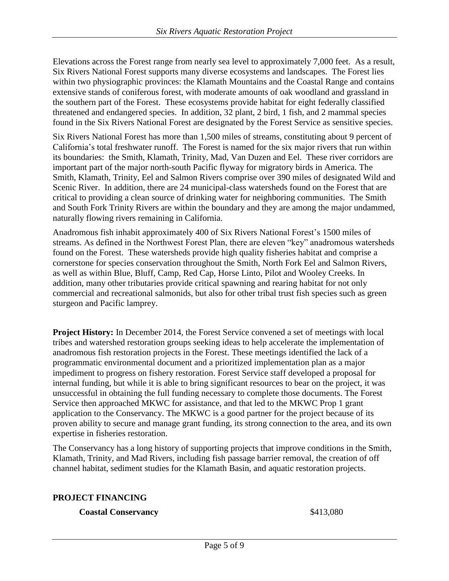Elevations across the Forest range from nearly sea level to approximately 7,000 feet. As a result, Six Rivers National Forest supports many diverse ecosystems and landscapes. The Forest lies within two physiographic provinces: the Klamath Mountains and the Coastal Range and contains extensive stands of coniferous forest, with moderate amounts of oak woodland and grassland in the southern part of the Forest. These ecosystems provide habitat for eight federally classified threatened and endangered species. In addition, 32 plant, 2 bird, 1 fish, and 2 mammal species found in the Six Rivers National Forest are designated by the Forest Service as sensitive species.

Six Rivers National Forest has more than 1,500 miles of streams, constituting about 9 percent of California's total freshwater runoff. The Forest is named for the six major rivers that run within its boundaries: the Smith, Klamath, Trinity, Mad, Van Duzen and Eel. These river corridors are important part of the major north-south Pacific flyway for migratory birds in America. The Smith, Klamath, Trinity, Eel and Salmon Rivers comprise over 390 miles of designated Wild and Scenic River. In addition, there are 24 municipal-class watersheds found on the Forest that are critical to providing a clean source of drinking water for neighboring communities. The Smith and South Fork Trinity Rivers are within the boundary and they are among the major undammed, naturally flowing rivers remaining in California.

Anadromous fish inhabit approximately 400 of Six Rivers National Forest's 1500 miles of streams. As defined in the Northwest Forest Plan, there are eleven "key" anadromous watersheds found on the Forest. These watersheds provide high quality fisheries habitat and comprise a cornerstone for species conservation throughout the Smith, North Fork Eel and Salmon Rivers, as well as within Blue, Bluff, Camp, Red Cap, Horse Linto, Pilot and Wooley Creeks. In addition, many other tributaries provide critical spawning and rearing habitat for not only commercial and recreational salmonids, but also for other tribal trust fish species such as green sturgeon and Pacific lamprey.

**Project History:** In December 2014, the Forest Service convened a set of meetings with local tribes and watershed restoration groups seeking ideas to help accelerate the implementation of anadromous fish restoration projects in the Forest. These meetings identified the lack of a programmatic environmental document and a prioritized implementation plan as a major impediment to progress on fishery restoration. Forest Service staff developed a proposal for internal funding, but while it is able to bring significant resources to bear on the project, it was unsuccessful in obtaining the full funding necessary to complete those documents. The Forest Service then approached MKWC for assistance, and that led to the MKWC Prop 1 grant application to the Conservancy. The MKWC is a good partner for the project because of its proven ability to secure and manage grant funding, its strong connection to the area, and its own expertise in fisheries restoration.

The Conservancy has a long history of supporting projects that improve conditions in the Smith, Klamath, Trinity, and Mad Rivers, including fish passage barrier removal, the creation of off channel habitat, sediment studies for the Klamath Basin, and aquatic restoration projects.

### **PROJECT FINANCING**

### **Coastal Conservancy** \$413,080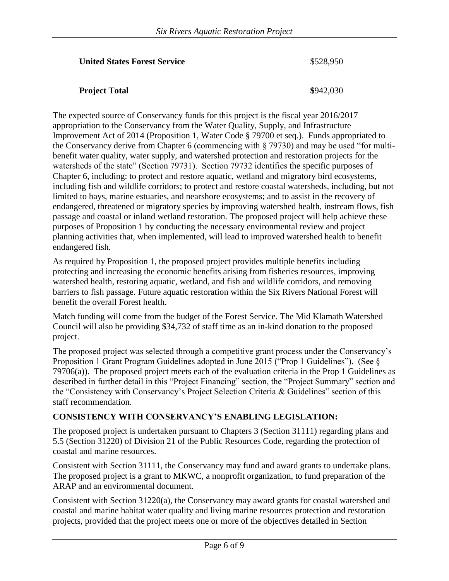### **United States Forest Service**  $$528.950$

### **Project Total \$942,030**

The expected source of Conservancy funds for this project is the fiscal year 2016/2017 appropriation to the Conservancy from the Water Quality, Supply, and Infrastructure Improvement Act of 2014 (Proposition 1, Water Code § 79700 et seq.). Funds appropriated to the Conservancy derive from Chapter 6 (commencing with § 79730) and may be used "for multibenefit water quality, water supply, and watershed protection and restoration projects for the watersheds of the state" (Section 79731). Section 79732 identifies the specific purposes of Chapter 6, including: to protect and restore aquatic, wetland and migratory bird ecosystems, including fish and wildlife corridors; to protect and restore coastal watersheds, including, but not limited to bays, marine estuaries, and nearshore ecosystems; and to assist in the recovery of endangered, threatened or migratory species by improving watershed health, instream flows, fish passage and coastal or inland wetland restoration. The proposed project will help achieve these purposes of Proposition 1 by conducting the necessary environmental review and project planning activities that, when implemented, will lead to improved watershed health to benefit endangered fish.

As required by Proposition 1, the proposed project provides multiple benefits including protecting and increasing the economic benefits arising from fisheries resources, improving watershed health, restoring aquatic, wetland, and fish and wildlife corridors, and removing barriers to fish passage. Future aquatic restoration within the Six Rivers National Forest will benefit the overall Forest health.

Match funding will come from the budget of the Forest Service. The Mid Klamath Watershed Council will also be providing \$34,732 of staff time as an in-kind donation to the proposed project.

The proposed project was selected through a competitive grant process under the Conservancy's Proposition 1 Grant Program Guidelines adopted in June 2015 ("Prop 1 Guidelines"). (See § 79706(a)). The proposed project meets each of the evaluation criteria in the Prop 1 Guidelines as described in further detail in this "Project Financing" section, the "Project Summary" section and the "Consistency with Conservancy's Project Selection Criteria & Guidelines" section of this staff recommendation.

### **CONSISTENCY WITH CONSERVANCY'S ENABLING LEGISLATION:**

The proposed project is undertaken pursuant to Chapters 3 (Section 31111) regarding plans and 5.5 (Section 31220) of Division 21 of the Public Resources Code, regarding the protection of coastal and marine resources.

Consistent with Section 31111, the Conservancy may fund and award grants to undertake plans. The proposed project is a grant to MKWC, a nonprofit organization, to fund preparation of the ARAP and an environmental document.

Consistent with Section 31220(a), the Conservancy may award grants for coastal watershed and coastal and marine habitat water quality and living marine resources protection and restoration projects, provided that the project meets one or more of the objectives detailed in Section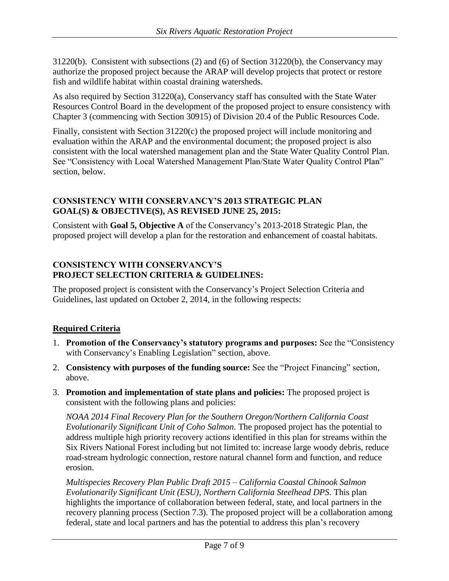31220(b). Consistent with subsections (2) and (6) of Section 31220(b), the Conservancy may authorize the proposed project because the ARAP will develop projects that protect or restore fish and wildlife habitat within coastal draining watersheds.

As also required by Section 31220(a), Conservancy staff has consulted with the State Water Resources Control Board in the development of the proposed project to ensure consistency with Chapter 3 (commencing with Section 30915) of Division 20.4 of the Public Resources Code.

Finally, consistent with Section 31220(c) the proposed project will include monitoring and evaluation within the ARAP and the environmental document; the proposed project is also consistent with the local watershed management plan and the State Water Quality Control Plan. See "Consistency with Local Watershed Management Plan/State Water Quality Control Plan" section, below.

# **CONSISTENCY WITH CONSERVANCY'S 2013 STRATEGIC PLAN GOAL(S) & OBJECTIVE(S), AS REVISED JUNE 25, 2015:**

Consistent with **Goal 5, Objective A** of the Conservancy's 2013-2018 Strategic Plan, the proposed project will develop a plan for the restoration and enhancement of coastal habitats.

## **CONSISTENCY WITH CONSERVANCY'S PROJECT SELECTION CRITERIA & GUIDELINES:**

The proposed project is consistent with the Conservancy's Project Selection Criteria and Guidelines, last updated on October 2, 2014, in the following respects:

# **Required Criteria**

- 1. **Promotion of the Conservancy's statutory programs and purposes:** See the "Consistency with Conservancy's Enabling Legislation" section, above.
- 2. **Consistency with purposes of the funding source:** See the "Project Financing" section, above.
- 3. **Promotion and implementation of state plans and policies:** The proposed project is consistent with the following plans and policies:

*NOAA 2014 Final Recovery Plan for the Southern Oregon/Northern California Coast Evolutionarily Significant Unit of Coho Salmon.* The proposed project has the potential to address multiple high priority recovery actions identified in this plan for streams within the Six Rivers National Forest including but not limited to: increase large woody debris, reduce road-stream hydrologic connection, restore natural channel form and function, and reduce erosion.

*Multispecies Recovery Plan Public Draft 2015 – California Coastal Chinook Salmon Evolutionarily Significant Unit (ESU), Northern California Steelhead DPS.* This plan highlights the importance of collaboration between federal, state, and local partners in the recovery planning process (Section 7.3). The proposed project will be a collaboration among federal, state and local partners and has the potential to address this plan's recovery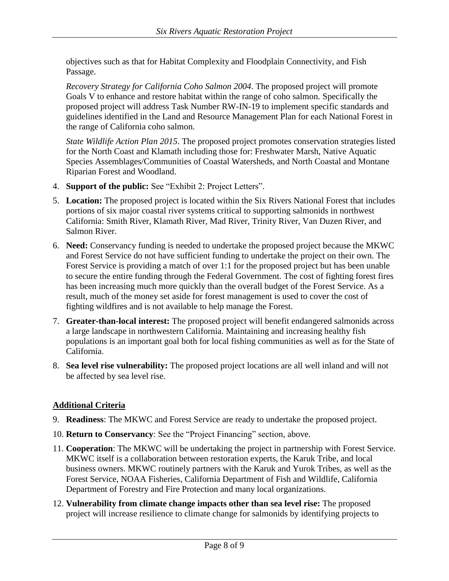objectives such as that for Habitat Complexity and Floodplain Connectivity, and Fish Passage.

*Recovery Strategy for California Coho Salmon 2004*. The proposed project will promote Goals V to enhance and restore habitat within the range of coho salmon. Specifically the proposed project will address Task Number RW-IN-19 to implement specific standards and guidelines identified in the Land and Resource Management Plan for each National Forest in the range of California coho salmon.

*State Wildlife Action Plan 2015*. The proposed project promotes conservation strategies listed for the North Coast and Klamath including those for: Freshwater Marsh, Native Aquatic Species Assemblages/Communities of Coastal Watersheds, and North Coastal and Montane Riparian Forest and Woodland.

- 4. **Support of the public:** See "Exhibit 2: Project Letters".
- 5. **Location:** The proposed project is located within the Six Rivers National Forest that includes portions of six major coastal river systems critical to supporting salmonids in northwest California: Smith River, Klamath River, Mad River, Trinity River, Van Duzen River, and Salmon River.
- 6. **Need:** Conservancy funding is needed to undertake the proposed project because the MKWC and Forest Service do not have sufficient funding to undertake the project on their own. The Forest Service is providing a match of over 1:1 for the proposed project but has been unable to secure the entire funding through the Federal Government. The cost of fighting forest fires has been increasing much more quickly than the overall budget of the Forest Service. As a result, much of the money set aside for forest management is used to cover the cost of fighting wildfires and is not available to help manage the Forest.
- 7. **Greater-than-local interest:** The proposed project will benefit endangered salmonids across a large landscape in northwestern California. Maintaining and increasing healthy fish populations is an important goal both for local fishing communities as well as for the State of California.
- 8. **Sea level rise vulnerability:** The proposed project locations are all well inland and will not be affected by sea level rise.

# **Additional Criteria**

- 9. **Readiness**: The MKWC and Forest Service are ready to undertake the proposed project.
- 10. **Return to Conservancy**: See the "Project Financing" section, above.
- 11. **Cooperation**: The MKWC will be undertaking the project in partnership with Forest Service. MKWC itself is a collaboration between restoration experts, the Karuk Tribe, and local business owners. MKWC routinely partners with the Karuk and Yurok Tribes, as well as the Forest Service, NOAA Fisheries, California Department of Fish and Wildlife, California Department of Forestry and Fire Protection and many local organizations.
- 12. **Vulnerability from climate change impacts other than sea level rise:** The proposed project will increase resilience to climate change for salmonids by identifying projects to